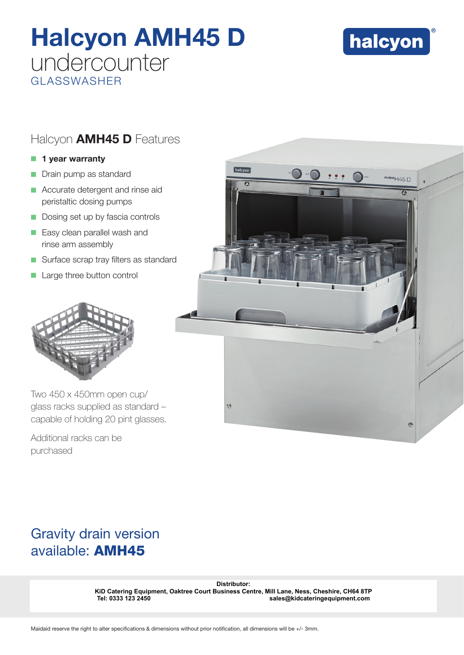# Halcyon AMH45 D undercounter GLASSWASHER



## Halcyon **AMH45 D** Features

#### $\blacksquare$  1 year warranty

- Drain pump as standard
- $\blacksquare$  Accurate detergent and rinse aid peristaltic dosing pumps
- Dosing set up by fascia controls
- **Easy clean parallel wash and** rinse arm assembly
- $\blacksquare$  Surface scrap tray filters as standard
- Large three button control



Two 450 x 450mm open cup/ glass racks supplied as standard – capable of holding 20 pint glasses.

Additional racks can be purchased



# Gravity drain version available: AMH45

Distributor:<br> **KiD Catering Equipment, Oaktree Court Business Centre, Mill Lane, Ness, C<br>
Tel: 0333 123 2450<br>
Maidaid reserve the right to alter specifications & dimensions without prior notification, all dimensions will b KiD Catering Equipment, Oaktree Court Business Centre, Mill Lane, Ness, Cheshire, CH64 8TP Tel: 0333 123 2450 sales@kidcateringequipment.com**